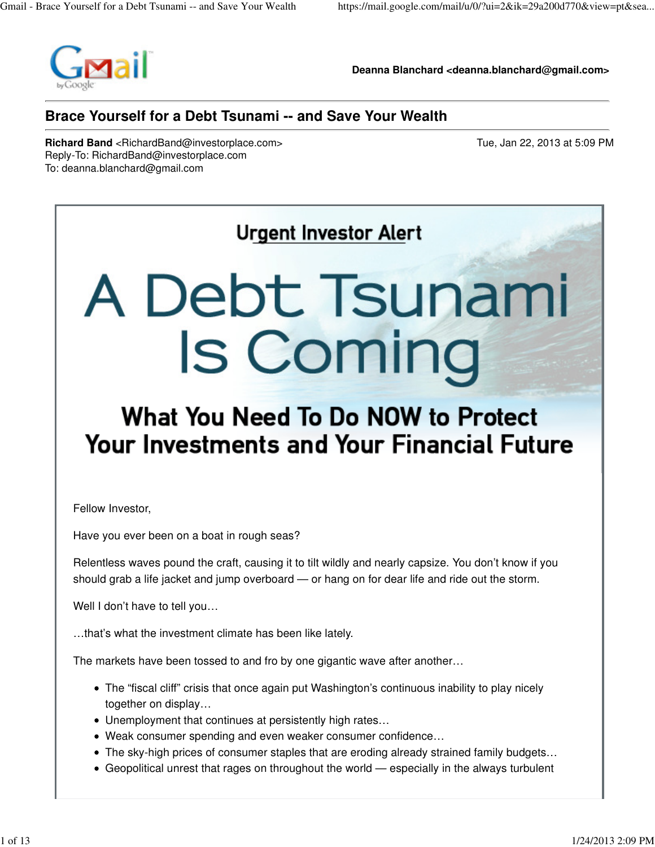

**Deanna Blanchard <deanna.blanchard@gmail.com>**

#### **Brace Yourself for a Debt Tsunami -- and Save Your Wealth**

**Richard Band** <RichardBand@investorplace.com> Tue, Jan 22, 2013 at 5:09 PM Reply-To: RichardBand@investorplace.com To: deanna.blanchard@gmail.com

# **Urgent Investor Alert**

# A Debt Tsunami **Is Coming**

## What You Need To Do NOW to Protect **Your Investments and Your Financial Future**

Fellow Investor,

Have you ever been on a boat in rough seas?

Relentless waves pound the craft, causing it to tilt wildly and nearly capsize. You don't know if you should grab a life jacket and jump overboard — or hang on for dear life and ride out the storm.

Well I don't have to tell you...

…that's what the investment climate has been like lately.

The markets have been tossed to and fro by one gigantic wave after another…

- The "fiscal cliff" crisis that once again put Washington's continuous inability to play nicely together on display…
- Unemployment that continues at persistently high rates…
- Weak consumer spending and even weaker consumer confidence…
- The sky-high prices of consumer staples that are eroding already strained family budgets...
- Geopolitical unrest that rages on throughout the world especially in the always turbulent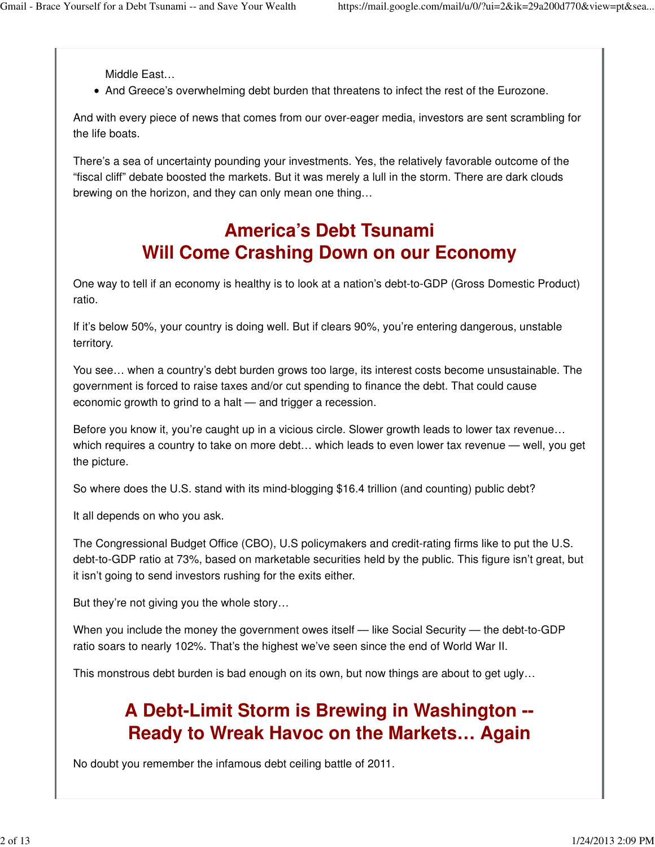Middle East…

And Greece's overwhelming debt burden that threatens to infect the rest of the Eurozone.

And with every piece of news that comes from our over-eager media, investors are sent scrambling for the life boats.

There's a sea of uncertainty pounding your investments. Yes, the relatively favorable outcome of the "fiscal cliff" debate boosted the markets. But it was merely a lull in the storm. There are dark clouds brewing on the horizon, and they can only mean one thing…

#### **America's Debt Tsunami Will Come Crashing Down on our Economy**

One way to tell if an economy is healthy is to look at a nation's debt-to-GDP (Gross Domestic Product) ratio.

If it's below 50%, your country is doing well. But if clears 90%, you're entering dangerous, unstable territory.

You see… when a country's debt burden grows too large, its interest costs become unsustainable. The government is forced to raise taxes and/or cut spending to finance the debt. That could cause economic growth to grind to a halt — and trigger a recession.

Before you know it, you're caught up in a vicious circle. Slower growth leads to lower tax revenue... which requires a country to take on more debt... which leads to even lower tax revenue — well, you get the picture.

So where does the U.S. stand with its mind-blogging \$16.4 trillion (and counting) public debt?

It all depends on who you ask.

The Congressional Budget Office (CBO), U.S policymakers and credit-rating firms like to put the U.S. debt-to-GDP ratio at 73%, based on marketable securities held by the public. This figure isn't great, but it isn't going to send investors rushing for the exits either.

But they're not giving you the whole story…

When you include the money the government owes itself — like Social Security — the debt-to-GDP ratio soars to nearly 102%. That's the highest we've seen since the end of World War II.

This monstrous debt burden is bad enough on its own, but now things are about to get ugly…

## **A Debt-Limit Storm is Brewing in Washington -- Ready to Wreak Havoc on the Markets… Again**

No doubt you remember the infamous debt ceiling battle of 2011.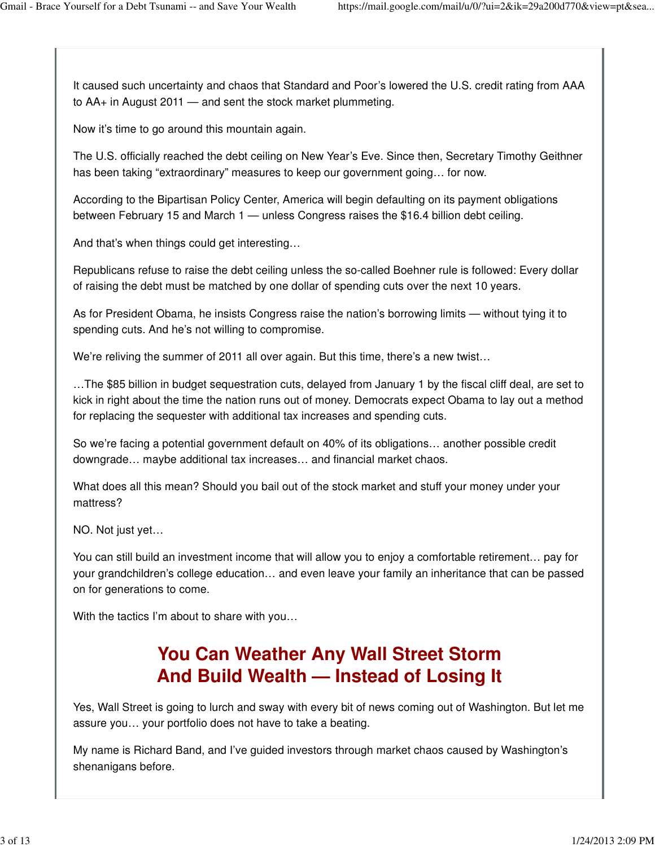It caused such uncertainty and chaos that Standard and Poor's lowered the U.S. credit rating from AAA to AA+ in August 2011 — and sent the stock market plummeting.

Now it's time to go around this mountain again.

The U.S. officially reached the debt ceiling on New Year's Eve. Since then, Secretary Timothy Geithner has been taking "extraordinary" measures to keep our government going… for now.

According to the Bipartisan Policy Center, America will begin defaulting on its payment obligations between February 15 and March 1 — unless Congress raises the \$16.4 billion debt ceiling.

And that's when things could get interesting…

Republicans refuse to raise the debt ceiling unless the so-called Boehner rule is followed: Every dollar of raising the debt must be matched by one dollar of spending cuts over the next 10 years.

As for President Obama, he insists Congress raise the nation's borrowing limits — without tying it to spending cuts. And he's not willing to compromise.

We're reliving the summer of 2011 all over again. But this time, there's a new twist...

…The \$85 billion in budget sequestration cuts, delayed from January 1 by the fiscal cliff deal, are set to kick in right about the time the nation runs out of money. Democrats expect Obama to lay out a method for replacing the sequester with additional tax increases and spending cuts.

So we're facing a potential government default on 40% of its obligations… another possible credit downgrade… maybe additional tax increases… and financial market chaos.

What does all this mean? Should you bail out of the stock market and stuff your money under your mattress?

NO. Not just yet…

You can still build an investment income that will allow you to enjoy a comfortable retirement… pay for your grandchildren's college education… and even leave your family an inheritance that can be passed on for generations to come.

With the tactics I'm about to share with you…

## **You Can Weather Any Wall Street Storm And Build Wealth — Instead of Losing It**

Yes, Wall Street is going to lurch and sway with every bit of news coming out of Washington. But let me assure you… your portfolio does not have to take a beating.

My name is Richard Band, and I've guided investors through market chaos caused by Washington's shenanigans before.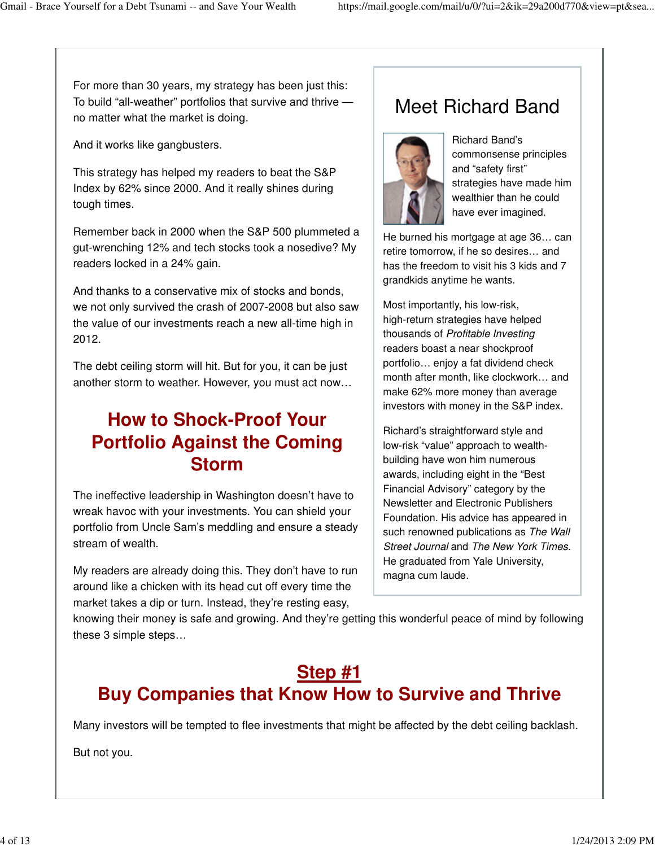For more than 30 years, my strategy has been just this: To build "all-weather" portfolios that survive and thrive no matter what the market is doing.

And it works like gangbusters.

This strategy has helped my readers to beat the S&P Index by 62% since 2000. And it really shines during tough times.

Remember back in 2000 when the S&P 500 plummeted a gut-wrenching 12% and tech stocks took a nosedive? My readers locked in a 24% gain.

And thanks to a conservative mix of stocks and bonds, we not only survived the crash of 2007-2008 but also saw the value of our investments reach a new all-time high in 2012.

The debt ceiling storm will hit. But for you, it can be just another storm to weather. However, you must act now…

## **How to Shock-Proof Your Portfolio Against the Coming Storm**

The ineffective leadership in Washington doesn't have to wreak havoc with your investments. You can shield your portfolio from Uncle Sam's meddling and ensure a steady stream of wealth.

My readers are already doing this. They don't have to run around like a chicken with its head cut off every time the market takes a dip or turn. Instead, they're resting easy,

## Meet Richard Band



Richard Band's commonsense principles and "safety first" strategies have made him wealthier than he could have ever imagined.

He burned his mortgage at age 36… can retire tomorrow, if he so desires… and has the freedom to visit his 3 kids and 7 grandkids anytime he wants.

Most importantly, his low-risk, high-return strategies have helped thousands of Profitable Investing readers boast a near shockproof portfolio… enjoy a fat dividend check month after month, like clockwork… and make 62% more money than average investors with money in the S&P index.

Richard's straightforward style and low-risk "value" approach to wealthbuilding have won him numerous awards, including eight in the "Best Financial Advisory" category by the Newsletter and Electronic Publishers Foundation. His advice has appeared in such renowned publications as The Wall Street Journal and The New York Times. He graduated from Yale University, magna cum laude.

knowing their money is safe and growing. And they're getting this wonderful peace of mind by following these 3 simple steps…

#### **Step #1 Buy Companies that Know How to Survive and Thrive**

Many investors will be tempted to flee investments that might be affected by the debt ceiling backlash.

But not you.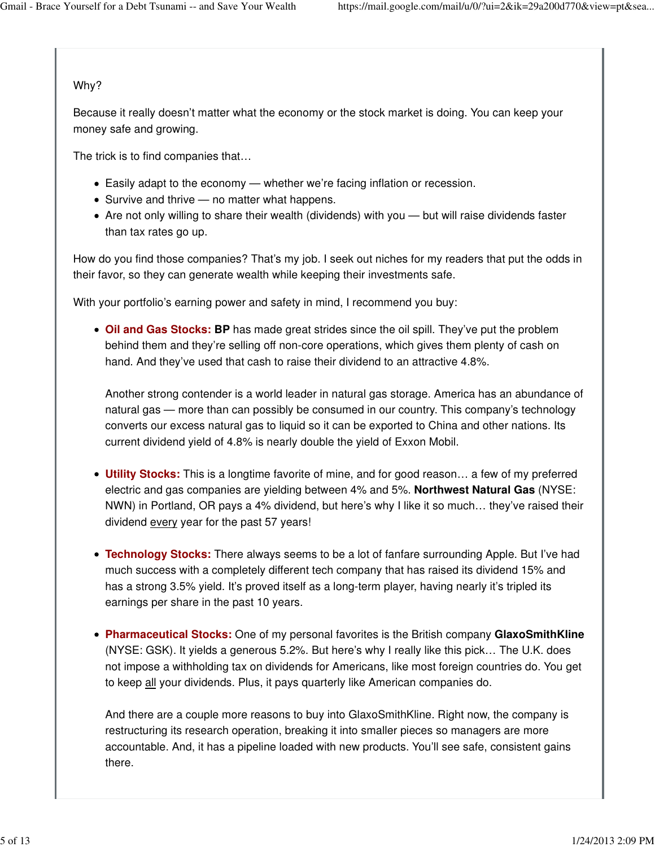#### Why?

Because it really doesn't matter what the economy or the stock market is doing. You can keep your money safe and growing.

The trick is to find companies that…

- Easily adapt to the economy whether we're facing inflation or recession.
- Survive and thrive no matter what happens.
- Are not only willing to share their wealth (dividends) with you but will raise dividends faster than tax rates go up.

How do you find those companies? That's my job. I seek out niches for my readers that put the odds in their favor, so they can generate wealth while keeping their investments safe.

With your portfolio's earning power and safety in mind, I recommend you buy:

**Oil and Gas Stocks: BP** has made great strides since the oil spill. They've put the problem behind them and they're selling off non-core operations, which gives them plenty of cash on hand. And they've used that cash to raise their dividend to an attractive 4.8%.

Another strong contender is a world leader in natural gas storage. America has an abundance of natural gas — more than can possibly be consumed in our country. This company's technology converts our excess natural gas to liquid so it can be exported to China and other nations. Its current dividend yield of 4.8% is nearly double the yield of Exxon Mobil.

- **Utility Stocks:** This is a longtime favorite of mine, and for good reason… a few of my preferred electric and gas companies are yielding between 4% and 5%. **Northwest Natural Gas** (NYSE: NWN) in Portland, OR pays a 4% dividend, but here's why I like it so much… they've raised their dividend every year for the past 57 years!
- **Technology Stocks:** There always seems to be a lot of fanfare surrounding Apple. But I've had much success with a completely different tech company that has raised its dividend 15% and has a strong 3.5% yield. It's proved itself as a long-term player, having nearly it's tripled its earnings per share in the past 10 years.
- **Pharmaceutical Stocks:** One of my personal favorites is the British company **GlaxoSmithKline** (NYSE: GSK). It yields a generous 5.2%. But here's why I really like this pick… The U.K. does not impose a withholding tax on dividends for Americans, like most foreign countries do. You get to keep all your dividends. Plus, it pays quarterly like American companies do.

And there are a couple more reasons to buy into GlaxoSmithKline. Right now, the company is restructuring its research operation, breaking it into smaller pieces so managers are more accountable. And, it has a pipeline loaded with new products. You'll see safe, consistent gains there.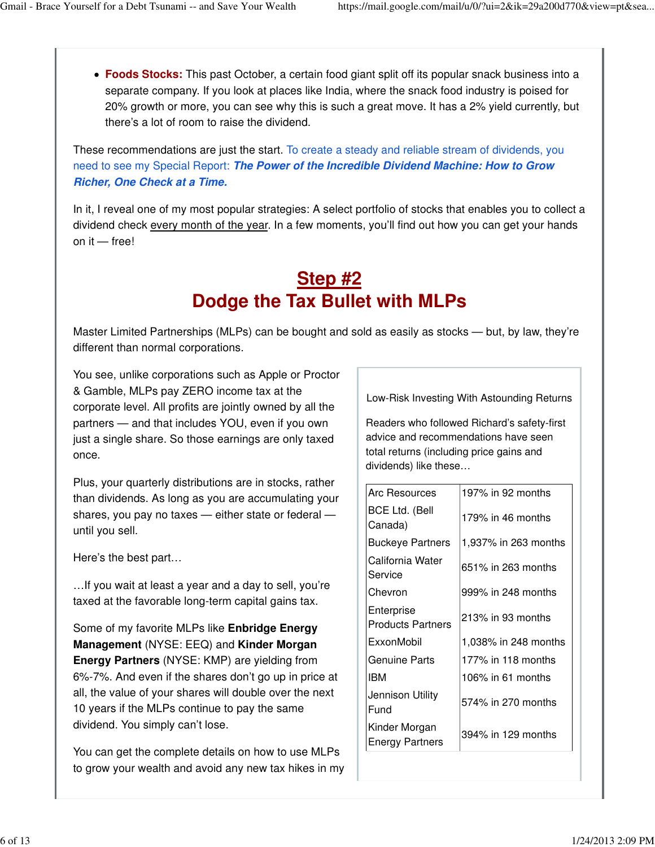**Foods Stocks:** This past October, a certain food giant split off its popular snack business into a separate company. If you look at places like India, where the snack food industry is poised for 20% growth or more, you can see why this is such a great move. It has a 2% yield currently, but there's a lot of room to raise the dividend.

These recommendations are just the start. To create a steady and reliable stream of dividends, you need to see my Special Report: **The Power of the Incredible Dividend Machine: How to Grow Richer, One Check at a Time.**

In it, I reveal one of my most popular strategies: A select portfolio of stocks that enables you to collect a dividend check every month of the year. In a few moments, you'll find out how you can get your hands on it — free!

#### **Step #2 Dodge the Tax Bullet with MLPs**

Master Limited Partnerships (MLPs) can be bought and sold as easily as stocks — but, by law, they're different than normal corporations.

You see, unlike corporations such as Apple or Proctor & Gamble, MLPs pay ZERO income tax at the corporate level. All profits are jointly owned by all the partners — and that includes YOU, even if you own just a single share. So those earnings are only taxed once.

Plus, your quarterly distributions are in stocks, rather than dividends. As long as you are accumulating your shares, you pay no taxes — either state or federal until you sell.

Here's the best part…

…If you wait at least a year and a day to sell, you're taxed at the favorable long-term capital gains tax.

Some of my favorite MLPs like **Enbridge Energy Management** (NYSE: EEQ) and **Kinder Morgan Energy Partners** (NYSE: KMP) are yielding from 6%-7%. And even if the shares don't go up in price at all, the value of your shares will double over the next 10 years if the MLPs continue to pay the same dividend. You simply can't lose.

You can get the complete details on how to use MLPs to grow your wealth and avoid any new tax hikes in my Low-Risk Investing With Astounding Returns

Readers who followed Richard's safety-first advice and recommendations have seen total returns (including price gains and dividends) like these…

| <b>Arc Resources</b>                    | 197% in 92 months    |
|-----------------------------------------|----------------------|
| <b>BCE Ltd. (Bell</b><br>Canada)        | 179% in 46 months    |
| <b>Buckeye Partners</b>                 | 1,937% in 263 months |
| California Water<br>Service             | 651% in 263 months   |
| Chevron                                 | 999% in 248 months   |
| Enterprise<br><b>Products Partners</b>  | 213% in 93 months    |
| ExxonMobil                              | 1,038% in 248 months |
| Genuine Parts                           | 177% in 118 months   |
| IBM                                     | 106% in 61 months    |
| Jennison Utility<br>Fund                | 574% in 270 months   |
| Kinder Morgan<br><b>Energy Partners</b> | 394% in 129 months   |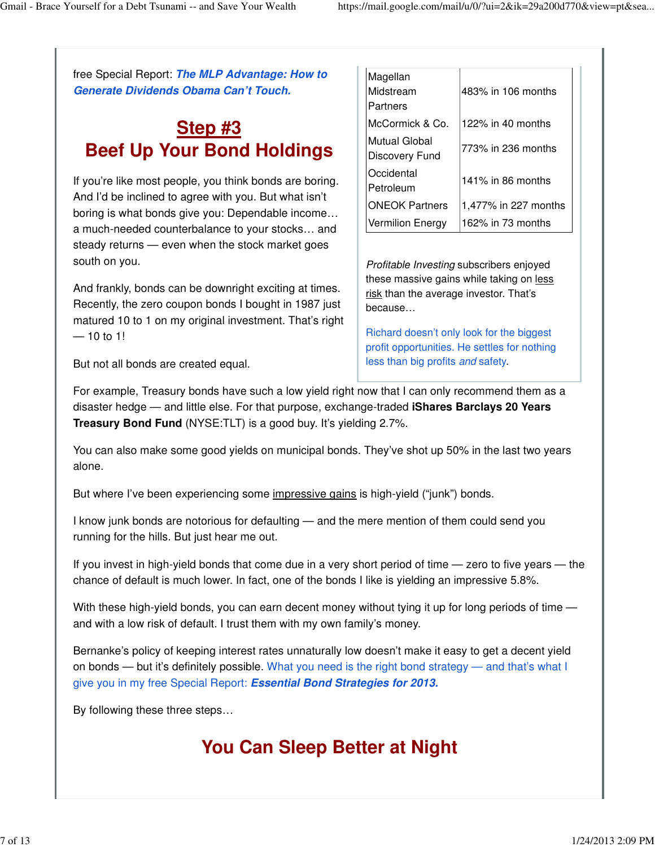free Special Report: **The MLP Advantage: How to Generate Dividends Obama Can't Touch.**

#### **Step #3 Beef Up Your Bond Holdings**

If you're like most people, you think bonds are boring. And I'd be inclined to agree with you. But what isn't boring is what bonds give you: Dependable income… a much-needed counterbalance to your stocks… and steady returns — even when the stock market goes south on you.

And frankly, bonds can be downright exciting at times. Recently, the zero coupon bonds I bought in 1987 just matured 10 to 1 on my original investment. That's right  $-10$  to 1!

| Magellan<br>Midstream<br>Partners | 483% in 106 months   |
|-----------------------------------|----------------------|
| McCormick & Co.                   | 122% in 40 months    |
| Mutual Global<br>Discovery Fund   | 773% in 236 months   |
| Occidental<br>Petroleum           | 141% in 86 months    |
| <b>ONEOK Partners</b>             | 1,477% in 227 months |
| <b>Vermilion Energy</b>           | 162% in 73 months    |

Profitable Investing subscribers enjoyed these massive gains while taking on less risk than the average investor. That's because…

Richard doesn't only look for the biggest profit opportunities. He settles for nothing less than big profits and safety.

But not all bonds are created equal.

For example, Treasury bonds have such a low yield right now that I can only recommend them as a disaster hedge — and little else. For that purpose, exchange-traded **iShares Barclays 20 Years Treasury Bond Fund** (NYSE:TLT) is a good buy. It's yielding 2.7%.

You can also make some good yields on municipal bonds. They've shot up 50% in the last two years alone.

But where I've been experiencing some impressive gains is high-yield ("junk") bonds.

I know junk bonds are notorious for defaulting — and the mere mention of them could send you running for the hills. But just hear me out.

If you invest in high-yield bonds that come due in a very short period of time — zero to five years — the chance of default is much lower. In fact, one of the bonds I like is yielding an impressive 5.8%.

With these high-yield bonds, you can earn decent money without tying it up for long periods of time and with a low risk of default. I trust them with my own family's money.

Bernanke's policy of keeping interest rates unnaturally low doesn't make it easy to get a decent yield on bonds — but it's definitely possible. What you need is the right bond strategy — and that's what I give you in my free Special Report: **Essential Bond Strategies for 2013.**

By following these three steps…

## **You Can Sleep Better at Night**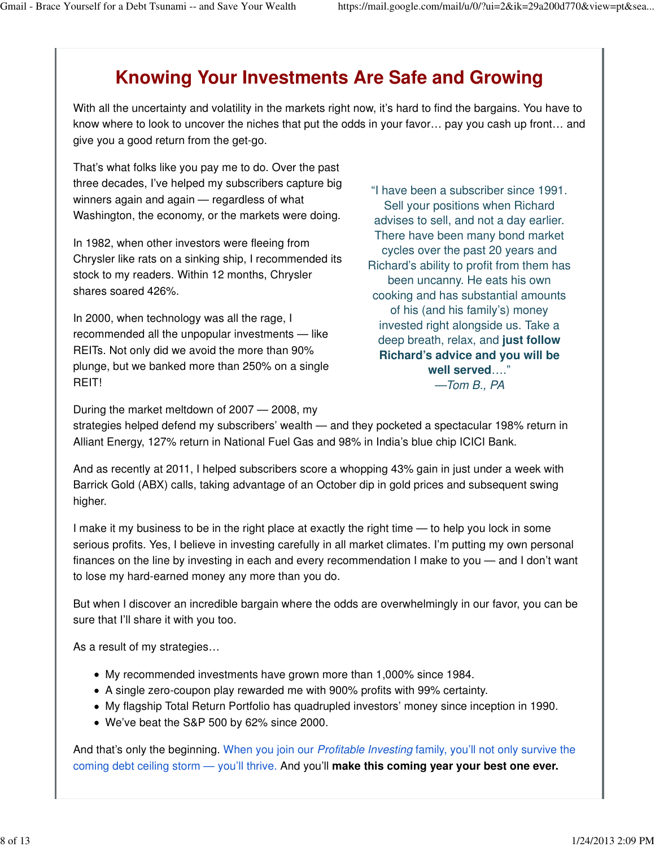## **Knowing Your Investments Are Safe and Growing**

With all the uncertainty and volatility in the markets right now, it's hard to find the bargains. You have to know where to look to uncover the niches that put the odds in your favor… pay you cash up front… and give you a good return from the get-go.

That's what folks like you pay me to do. Over the past three decades, I've helped my subscribers capture big winners again and again — regardless of what Washington, the economy, or the markets were doing.

In 1982, when other investors were fleeing from Chrysler like rats on a sinking ship, I recommended its stock to my readers. Within 12 months, Chrysler shares soared 426%.

In 2000, when technology was all the rage, I recommended all the unpopular investments — like REITs. Not only did we avoid the more than 90% plunge, but we banked more than 250% on a single REIT!

"I have been a subscriber since 1991. Sell your positions when Richard advises to sell, and not a day earlier. There have been many bond market cycles over the past 20 years and Richard's ability to profit from them has been uncanny. He eats his own cooking and has substantial amounts of his (and his family's) money invested right alongside us. Take a deep breath, relax, and **just follow Richard's advice and you will be well served**…." —Tom B., PA

During the market meltdown of 2007 — 2008, my strategies helped defend my subscribers' wealth — and they pocketed a spectacular 198% return in Alliant Energy, 127% return in National Fuel Gas and 98% in India's blue chip ICICI Bank.

And as recently at 2011, I helped subscribers score a whopping 43% gain in just under a week with Barrick Gold (ABX) calls, taking advantage of an October dip in gold prices and subsequent swing higher.

I make it my business to be in the right place at exactly the right time — to help you lock in some serious profits. Yes, I believe in investing carefully in all market climates. I'm putting my own personal finances on the line by investing in each and every recommendation I make to you — and I don't want to lose my hard-earned money any more than you do.

But when I discover an incredible bargain where the odds are overwhelmingly in our favor, you can be sure that I'll share it with you too.

As a result of my strategies…

- My recommended investments have grown more than 1,000% since 1984.
- A single zero-coupon play rewarded me with 900% profits with 99% certainty.
- My flagship Total Return Portfolio has quadrupled investors' money since inception in 1990.
- We've beat the S&P 500 by 62% since 2000.

And that's only the beginning. When you join our *Profitable Investing* family, you'll not only survive the coming debt ceiling storm — you'll thrive. And you'll **make this coming year your best one ever.**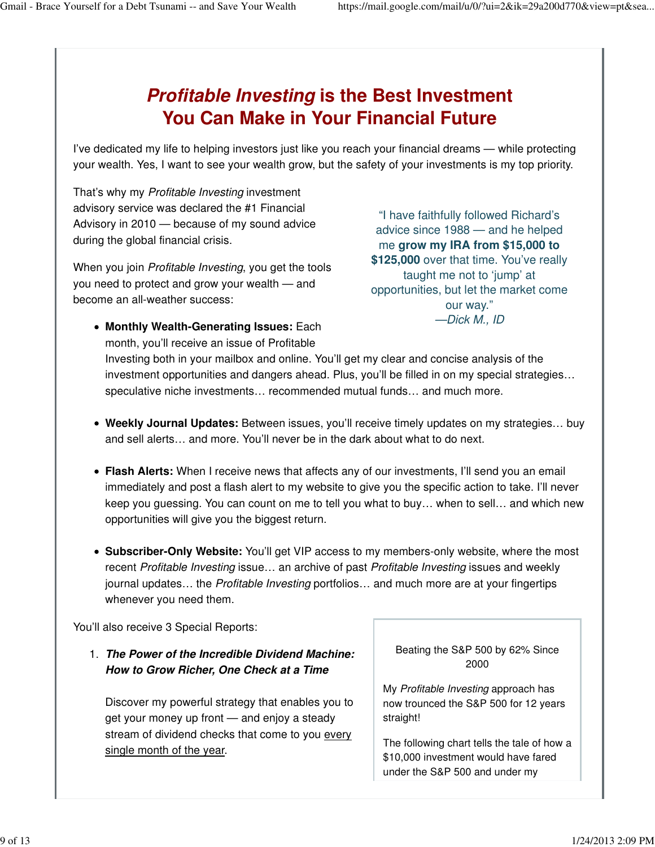#### **Profitable Investing is the Best Investment You Can Make in Your Financial Future**

I've dedicated my life to helping investors just like you reach your financial dreams — while protecting your wealth. Yes, I want to see your wealth grow, but the safety of your investments is my top priority.

That's why my Profitable Investing investment advisory service was declared the #1 Financial Advisory in 2010 — because of my sound advice during the global financial crisis.

When you join *Profitable Investing*, you get the tools you need to protect and grow your wealth — and become an all-weather success:

"I have faithfully followed Richard's advice since 1988 — and he helped me **grow my IRA from \$15,000 to \$125,000** over that time. You've really taught me not to 'jump' at opportunities, but let the market come our way." —Dick M., ID

- **Monthly Wealth-Generating Issues:** Each month, you'll receive an issue of Profitable Investing both in your mailbox and online. You'll get my clear and concise analysis of the investment opportunities and dangers ahead. Plus, you'll be filled in on my special strategies… speculative niche investments… recommended mutual funds… and much more.
- **Weekly Journal Updates:** Between issues, you'll receive timely updates on my strategies… buy and sell alerts… and more. You'll never be in the dark about what to do next.
- **Flash Alerts:** When I receive news that affects any of our investments, I'll send you an email immediately and post a flash alert to my website to give you the specific action to take. I'll never keep you guessing. You can count on me to tell you what to buy… when to sell… and which new opportunities will give you the biggest return.
- **Subscriber-Only Website:** You'll get VIP access to my members-only website, where the most recent Profitable Investing issue… an archive of past Profitable Investing issues and weekly journal updates… the Profitable Investing portfolios… and much more are at your fingertips whenever you need them.

You'll also receive 3 Special Reports:

**The Power of the Incredible Dividend Machine:** 1. **How to Grow Richer, One Check at a Time**

Discover my powerful strategy that enables you to get your money up front — and enjoy a steady stream of dividend checks that come to you every single month of the year.

Beating the S&P 500 by 62% Since 2000

My Profitable Investing approach has now trounced the S&P 500 for 12 years straight!

The following chart tells the tale of how a \$10,000 investment would have fared under the S&P 500 and under my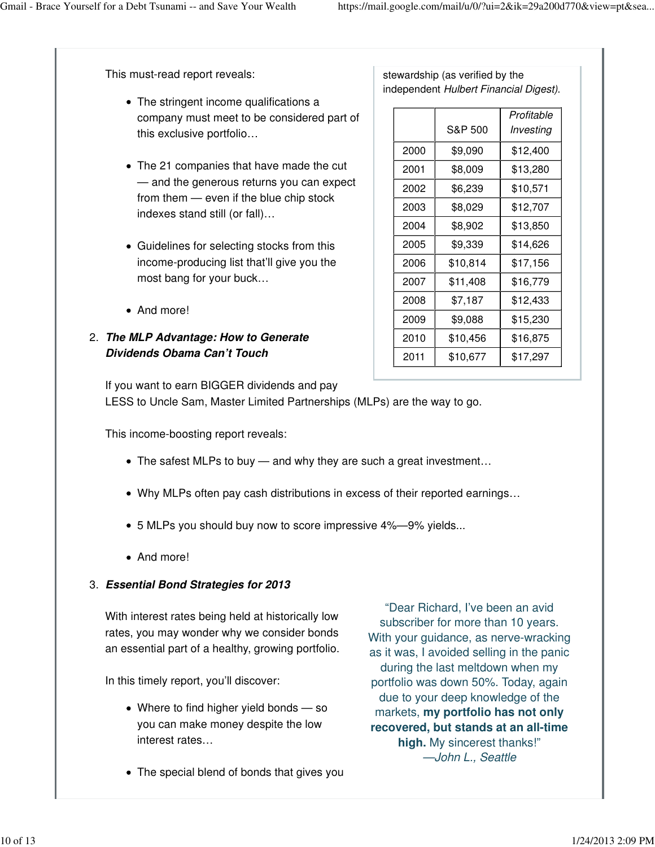This must-read report reveals:

- The stringent income qualifications a company must meet to be considered part of this exclusive portfolio…
- The 21 companies that have made the cut — and the generous returns you can expect from them — even if the blue chip stock indexes stand still (or fall)…
- Guidelines for selecting stocks from this income-producing list that'll give you the most bang for your buck…
- And more!
- **The MLP Advantage: How to Generate** 2. **Dividends Obama Can't Touch**

stewardship (as verified by the independent Hulbert Financial Digest).

|      | S&P 500  | Profitable<br>Investing |
|------|----------|-------------------------|
|      |          |                         |
| 2000 | \$9,090  | \$12,400                |
| 2001 | \$8,009  | \$13,280                |
| 2002 | \$6,239  | \$10,571                |
| 2003 | \$8,029  | \$12,707                |
| 2004 | \$8,902  | \$13,850                |
| 2005 | \$9,339  | \$14,626                |
| 2006 | \$10,814 | \$17,156                |
| 2007 | \$11,408 | \$16,779                |
| 2008 | \$7,187  | \$12,433                |
| 2009 | \$9,088  | \$15,230                |
| 2010 | \$10,456 | \$16,875                |
| 2011 | \$10,677 | \$17,297                |

If you want to earn BIGGER dividends and pay

LESS to Uncle Sam, Master Limited Partnerships (MLPs) are the way to go.

This income-boosting report reveals:

- The safest MLPs to buy and why they are such a great investment…
- Why MLPs often pay cash distributions in excess of their reported earnings...
- 5 MLPs you should buy now to score impressive 4%—9% yields...
- And more!

#### **Essential Bond Strategies for 2013** 3.

With interest rates being held at historically low rates, you may wonder why we consider bonds an essential part of a healthy, growing portfolio.

In this timely report, you'll discover:

- Where to find higher yield bonds so you can make money despite the low interest rates…
- The special blend of bonds that gives you

"Dear Richard, I've been an avid subscriber for more than 10 years. With your guidance, as nerve-wracking as it was, I avoided selling in the panic during the last meltdown when my portfolio was down 50%. Today, again due to your deep knowledge of the markets, **my portfolio has not only recovered, but stands at an all-time high.** My sincerest thanks!" —John L., Seattle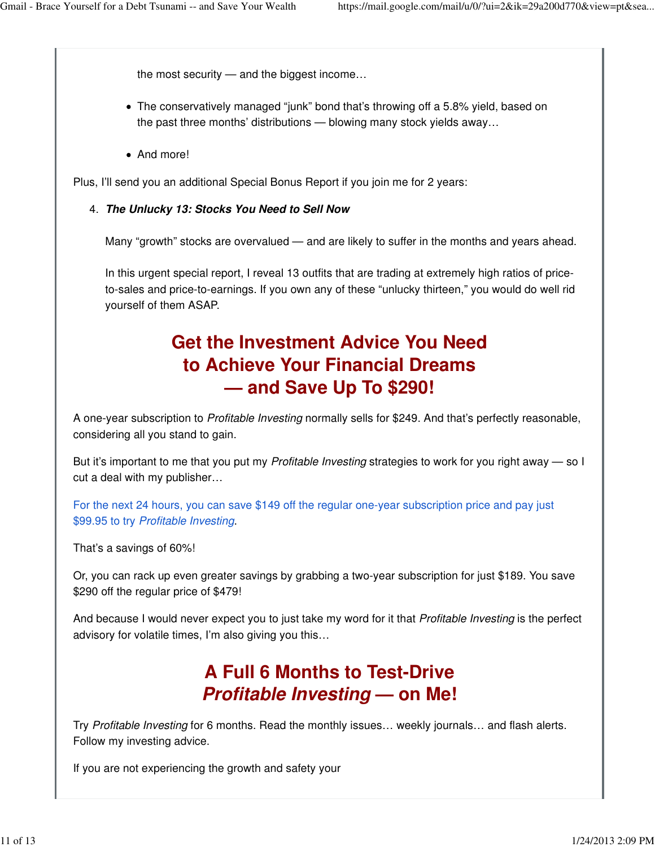the most security — and the biggest income…

- The conservatively managed "junk" bond that's throwing off a 5.8% yield, based on the past three months' distributions — blowing many stock yields away…
- And more!

Plus, I'll send you an additional Special Bonus Report if you join me for 2 years:

#### **The Unlucky 13: Stocks You Need to Sell Now** 4.

Many "growth" stocks are overvalued — and are likely to suffer in the months and years ahead.

In this urgent special report, I reveal 13 outfits that are trading at extremely high ratios of priceto-sales and price-to-earnings. If you own any of these "unlucky thirteen," you would do well rid yourself of them ASAP.

#### **Get the Investment Advice You Need to Achieve Your Financial Dreams — and Save Up To \$290!**

A one-year subscription to Profitable Investing normally sells for \$249. And that's perfectly reasonable, considering all you stand to gain.

But it's important to me that you put my *Profitable Investing* strategies to work for you right away — so I cut a deal with my publisher…

For the next 24 hours, you can save \$149 off the regular one-year subscription price and pay just \$99.95 to try Profitable Investing.

That's a savings of 60%!

Or, you can rack up even greater savings by grabbing a two-year subscription for just \$189. You save \$290 off the regular price of \$479!

And because I would never expect you to just take my word for it that *Profitable Investing* is the perfect advisory for volatile times, I'm also giving you this…

#### **A Full 6 Months to Test-Drive Profitable Investing — on Me!**

Try Profitable Investing for 6 months. Read the monthly issues… weekly journals… and flash alerts. Follow my investing advice.

If you are not experiencing the growth and safety your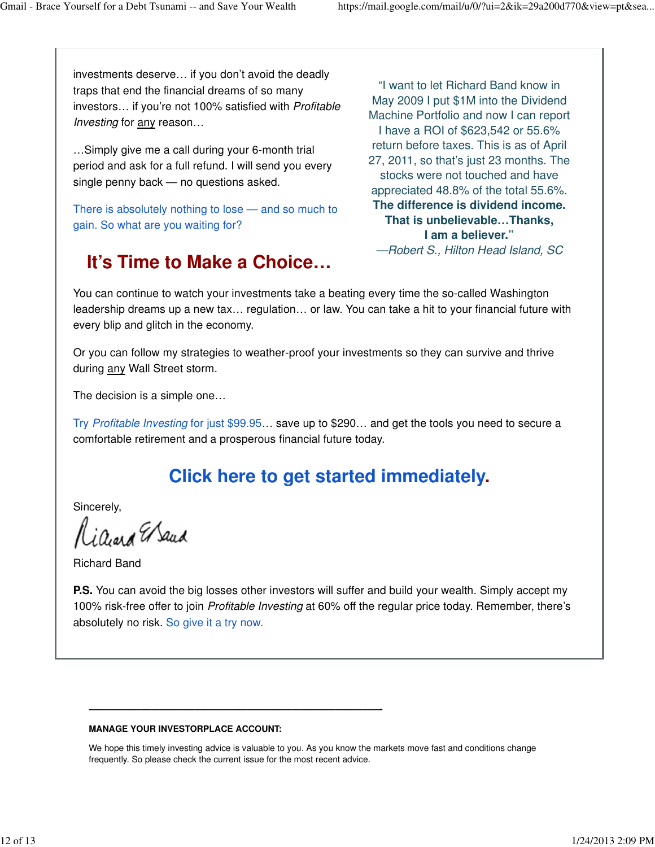investments deserve… if you don't avoid the deadly traps that end the financial dreams of so many investors… if you're not 100% satisfied with Profitable Investing for any reason...

…Simply give me a call during your 6-month trial period and ask for a full refund. I will send you every single penny back — no questions asked.

There is absolutely nothing to lose — and so much to gain. So what are you waiting for?

## **It's Time to Make a Choice…**

"I want to let Richard Band know in May 2009 I put \$1M into the Dividend Machine Portfolio and now I can report I have a ROI of \$623,542 or 55.6% return before taxes. This is as of April 27, 2011, so that's just 23 months. The stocks were not touched and have appreciated 48.8% of the total 55.6%. **The difference is dividend income. That is unbelievable…Thanks, I am a believer."** —Robert S., Hilton Head Island, SC

You can continue to watch your investments take a beating every time the so-called Washington leadership dreams up a new tax… regulation… or law. You can take a hit to your financial future with every blip and glitch in the economy.

Or you can follow my strategies to weather-proof your investments so they can survive and thrive during any Wall Street storm.

The decision is a simple one…

Try Profitable Investing for just \$99.95… save up to \$290… and get the tools you need to secure a comfortable retirement and a prosperous financial future today.

## **Click here to get started immediately.**

Sincerely,

Riaard Waud

Richard Band

**P.S.** You can avoid the big losses other investors will suffer and build your wealth. Simply accept my 100% risk-free offer to join Profitable Investing at 60% off the regular price today. Remember, there's absolutely no risk. So give it a try now.

#### **MANAGE YOUR INVESTORPLACE ACCOUNT:**

**—————————————————————————————————-**

We hope this timely investing advice is valuable to you. As you know the markets move fast and conditions change frequently. So please check the current issue for the most recent advice.